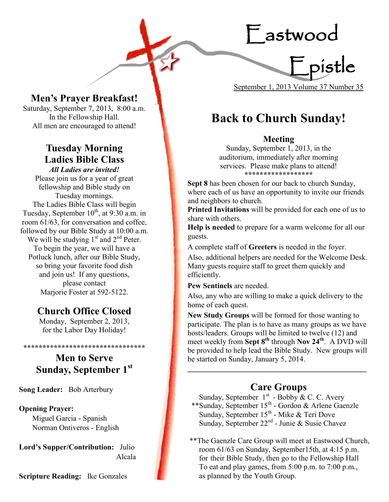Eastwood



**Men's Prayer Breakfast!** 

Saturday, September 7, 2013, 8:00 a.m. In the Fellowship Hall. All men are encouraged to attend!

## **Tuesday Morning Ladies Bible Class** *All Ladies are invited!*

Please join us for a year of great fellowship and Bible study on Tuesday mornings. The Ladies Bible Class will begin Tuesday, September  $10^{th}$ , at 9:30 a.m. in room 61/63, for conversation and coffee, followed by our Bible Study at 10:00 a.m. We will be studying  $1<sup>st</sup>$  and  $2<sup>nd</sup>$  Peter. To begin the year, we will have a Potluck lunch, after our Bible Study, so bring your favorite food dish and join us! If any questions, please contact Marjorie Foster at 592-5122.

## **Church Office Closed**

Monday, September 2, 2013, for the Labor Day Holiday!

## **Men to Serve Sunday, September 1st**

**\*\*\*\*\*\*\*\*\*\*\*\*\*\*\*\*\*\*\*\*\*\*\*\*\*\*\*\*\*\*\*\***

**Song Leader:** Bob Arterbury

#### **Opening Prayer:**

Miguel Garcia - Spanish Norman Ontiveros - English

**Lord's Supper/Contribution:** Julio Alcala

**Scripture Reading:** Ike Gonzales

# **Back to Church Sunday!**

## **Meeting**

Sunday, September 1, 2013, in the auditorium, immediately after morning services. Please make plans to attend! **\*\*\*\*\*\*\*\*\*\*\*\*\*\*\*\*\*\***

**Sept 8** has been chosen for our back to church Sunday, where each of us have an opportunity to invite our friends and neighbors to church.

**Printed Invitations** will be provided for each one of us to share with others.

**Help is needed** to prepare for a warm welcome for all our guests.

A complete staff of **Greeters** is needed in the foyer.

Also, additional helpers are needed for the Welcome Desk. Many guests require staff to greet them quickly and efficiently.

**Pew Sentinels** are needed.

Also, any who are willing to make a quick delivery to the home of each quest.

**New Study Groups** will be formed for those wanting to participate. The plan is to have as many groups as we have hosts/leaders. Groups will be limited to twelve (12) and meet weekly from **Sept 8th** through **Nov 24th**. A DVD will be provided to help lead the Bible Study. New groups will be started on Sunday, January 5, 2014.

## **Care Groups**

**\_\_\_\_\_\_\_\_\_\_\_\_\_\_\_\_\_\_\_\_\_\_\_\_\_\_\_\_\_\_\_\_\_\_\_\_\_\_\_\_\_\_\_\_\_\_\_**

Sunday, September  $1<sup>st</sup>$  - Bobby & C. C. Avery \*\*Sunday, September 15<sup>th</sup> - Gordon & Arlene Gaenzle Sunday, September  $15^{th}$  - Mike & Teri Dove Sunday, September 22<sup>nd</sup> - Junie & Susie Chavez

\*\*The Gaenzle Care Group will meet at Eastwood Church, room 61/63 on Sunday, September15th, at 4:15 p.m. for their Bible Study, then go to the Fellowship Hall To eat and play games, from 5:00 p.m. to 7:00 p.m., as planned by the Youth Group.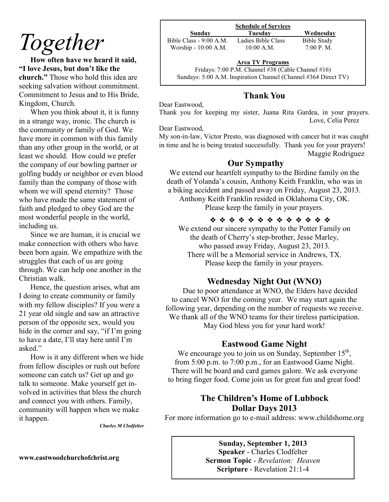# *Together*

**How often have we heard it said, "I love Jesus, but don't like the church."** Those who hold this idea are seeking salvation without commitment. Commitment to Jesus and to His Bride, Kingdom, Church.

When you think about it, it is funny in a strange way, ironic. The church is the community or family of God. We have more in common with this family than any other group in the world, or at least we should. How could we prefer the company of our bowling partner or golfing buddy or neighbor or even blood family than the company of those with whom we will spend eternity? Those who have made the same statement of faith and pledged to obey God are the most wonderful people in the world, including us.

Since we are human, it is crucial we make connection with others who have been born again. We empathize with the struggles that each of us are going through. We can help one another in the Christian walk.

Hence, the question arises, what am I doing to create community or family with my fellow disciples? If you were a 21 year old single and saw an attractive person of the opposite sex, would you hide in the corner and say, "if I'm going to have a date, I'll stay here until I'm asked."

How is it any different when we hide from fellow disciples or rush out before someone can catch us? Get up and go talk to someone. Make yourself get involved in activities that bless the church and connect you with others. Family, community will happen when we make it happen.

*Charles M Clodfelter*

#### **www.eastwoodchurchofchrist.org**

| <b>Schedule of Services</b> |                    |             |
|-----------------------------|--------------------|-------------|
| Sunday                      | Tuesdav            | Wednesday   |
| Bible Class - 9:00 A.M.     | Ladies Bible Class | Bible Study |
| Worship - 10:00 A.M.        | $10:00$ A.M.       | 7:00 P. M.  |

**Area TV Programs**

Fridays: 7:00 P.M. Channel #38 (Cable Channel #16) Sundays: 5:00 A.M. Inspiration Channel (Channel #364 Direct TV)

## **Thank You**

Dear Eastwood,

Thank you for keeping my sister, Juana Rita Gardea, in your prayers. Love, Celia Perez

Dear Eastwood,

My son-in-law, Victor Presto, was diagnosed with cancer but it was caught in time and he is being treated successfully. Thank you for your prayers! Maggie Rodriguez

#### **Our Sympathy**

We extend our heartfelt sympathy to the Birdine family on the death of Yolanda's cousin, Anthony Keith Franklin, who was in a biking accident and passed away on Friday, August 23, 2013. Anthony Keith Franklin resided in Oklahoma City, OK.

Please keep the family in your prayers.

❖ ❖ ❖ ❖ ❖ ❖ ❖ ❖ ❖ ❖ ❖ ❖ ❖ We extend our sincere sympathy to the Potter Family on the death of Cherry's step-brother, Jesse Marley, who passed away Friday, August 23, 2013. There will be a Memorial service in Andrews, TX. Please keep the family in your prayers.

## **Wednesday Night Out (WNO)**

Due to poor attendance at WNO, the Elders have decided to cancel WNO for the coming year. We may start again the following year, depending on the number of requests we receive. We thank all of the WNO teams for their tireless participation. May God bless you for your hard work!

## **Eastwood Game Night**

We encourage you to join us on Sunday, September  $15<sup>th</sup>$ , from 5:00 p.m. to 7:00 p.m., for an Eastwood Game Night. There will be board and card games galore. We ask everyone to bring finger food. Come join us for great fun and great food!

## **The Children's Home of Lubbock Dollar Days 2013**

For more information go to e-mail address: www.childshome.org

**Sunday, September 1, 2013 Speaker** - Charles Clodfelter **Sermon Topic** - *Revelation: Heaven* **Scripture** - Revelation 21:1-4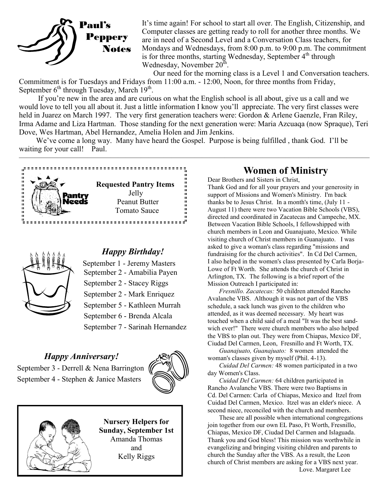

It's time again! For school to start all over. The English, Citizenship, and Computer classes are getting ready to roll for another three months. We are in need of a Second Level and a Conversation Class teachers, for Mondays and Wednesdays, from 8:00 p.m. to 9:00 p.m. The commitment is for three months, starting Wednesday, September  $4<sup>th</sup>$  through Wednesday, November  $20^{\text{th}}$ .

Our need for the morning class is a Level 1 and Conversation teachers. Commitment is for Tuesdays and Fridays from 11:00 a.m. - 12:00, Noon, for three months from Friday, September 6<sup>th</sup> through Tuesday, March 19<sup>th</sup>.

 If you're new in the area and are curious on what the English school is all about, give us a call and we would love to tell you all about it. Just a little information I know you'll appreciate. The very first classes were held in Juarez on March 1997. The very first generation teachers were: Gordon & Arlene Gaenzle, Fran Riley, Irma Adame and Liza Hartman. Those standing for the next generation were: Maria Azcuaqa (now Spraque), Teri Dove, Wes Hartman, Abel Hernandez, Amelia Holen and Jim Jenkins.

We've come a long way. Many have heard the Gospel. Purpose is being fulfilled, thank God. I'll be waiting for your call! Paul.  $\overline{\phantom{a}}$  , and the contract of the contract of  $\overline{\phantom{a}}$ 





## *Happy Birthday!*

September 1 - Jeremy Masters September 2 - Amabilia Payen

- September 2 Stacey Riggs
- September 2 Mark Enriquez

September 5 - Kathleen Murrah

September 6 - Brenda Alcala

September 7 - Sarinah Hernandez

#### *Happy Anniversary!*

September 3 - Derrell & Nena Barrington September 4 - Stephen & Janice Masters





**Nursery Helpers for Sunday, September 1st**  Amanda Thomas and Kelly Riggs

## **Women of Ministry**

Dear Brothers and Sisters in Christ, Thank God and for all your prayers and your generosity in support of Missions and Women's Ministry. I'm back thanks be to Jesus Christ. In a month's time, (July 11 - August 11) there were two Vacation Bible Schools (VBS), directed and coordinated in Zacatecas and Campeche, MX. Between Vacation Bible Schools, I fellowshipped with church members in Leon and Guanajuato, Mexico. While visiting church of Christ members in Guanajuato. I was asked to give a woman's class regarding "missions and fundraising for the church activities". In Cd Del Carmen, I also helped in the women's class presented by Carla Borja-Lowe of Ft Worth. She attends the church of Christ in Arlington, TX. The following is a brief report of the Mission Outreach I participated in:

*Fresnillo. Zacatecas:* 50 children attended Rancho Avalanche VBS. Although it was not part of the VBS schedule, a sack lunch was given to the children who attended, as it was deemed necessary. My heart was touched when a child said of a meal "It was the best sandwich ever!" There were church members who also helped the VBS to plan out. They were from Chiapas, Mexico DF, Ciudad Del Carmen, Leon, Fresnillo and Ft Worth, TX.

*Guanajuato, Guanajuato:* 8 women attended the woman's classes given by myself (Phil. 4-13).

*Cuidad Del Carmen:* 48 women participated in a two day Women's Class.

*Cuidad Del Carmen:* 64 children participated in Rancho Avalanche VBS. There were two Baptisms in Cd. Del Carmen: Carla of Chiapas, Mexico and Itzel from Cuidad Del Carmen, Mexico. Itzel was an elder's niece. A second niece, reconciled with the church and members.

These are all possible when international congregations join together from our own EL Paso, Ft Worth, Fresnillo, Chiapas, Mexico DF, Ciudad Del Carmen and Islaguada. Thank you and God bless! This mission was worthwhile in evangelizing and bringing visiting children and parents to church the Sunday after the VBS. As a result, the Leon church of Christ members are asking for a VBS next year. Love. Margaret Lee